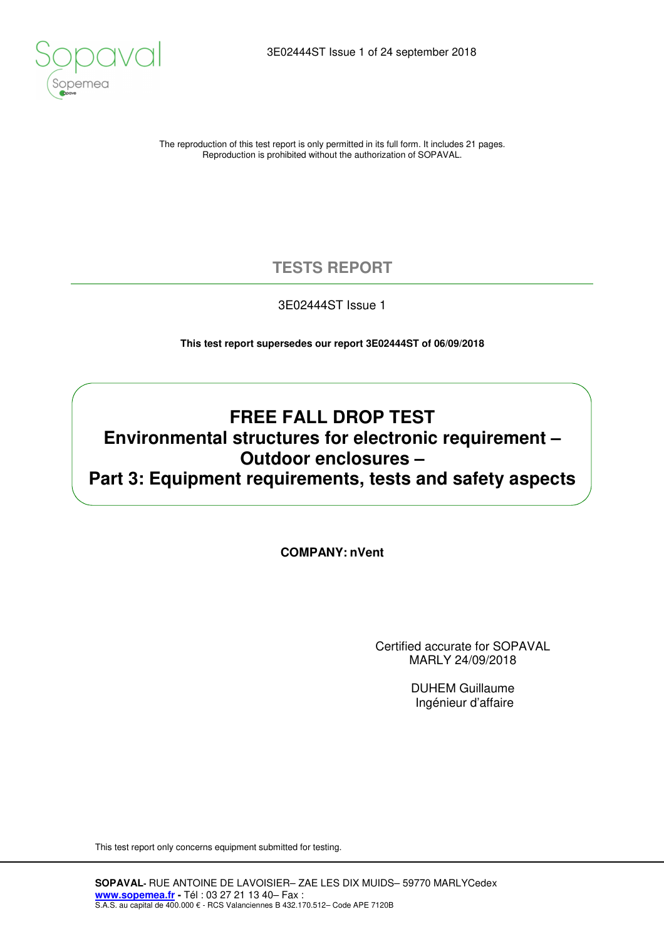

The reproduction of this test report is only permitted in its full form. It includes 21 pages. Reproduction is prohibited without the authorization of SOPAVAL.

### **TESTS REPORT**

3E02444ST Issue 1

**This test report supersedes our report 3E02444ST of 06/09/2018** 

### **FREE FALL DROP TEST Environmental structures for electronic requirement – Outdoor enclosures – Part 3: Equipment requirements, tests and safety aspects**

**COMPANY: nVent**

Certified accurate for SOPAVAL MARLY 24/09/2018

> DUHEM Guillaume Ingénieur d'affaire

This test report only concerns equipment submitted for testing.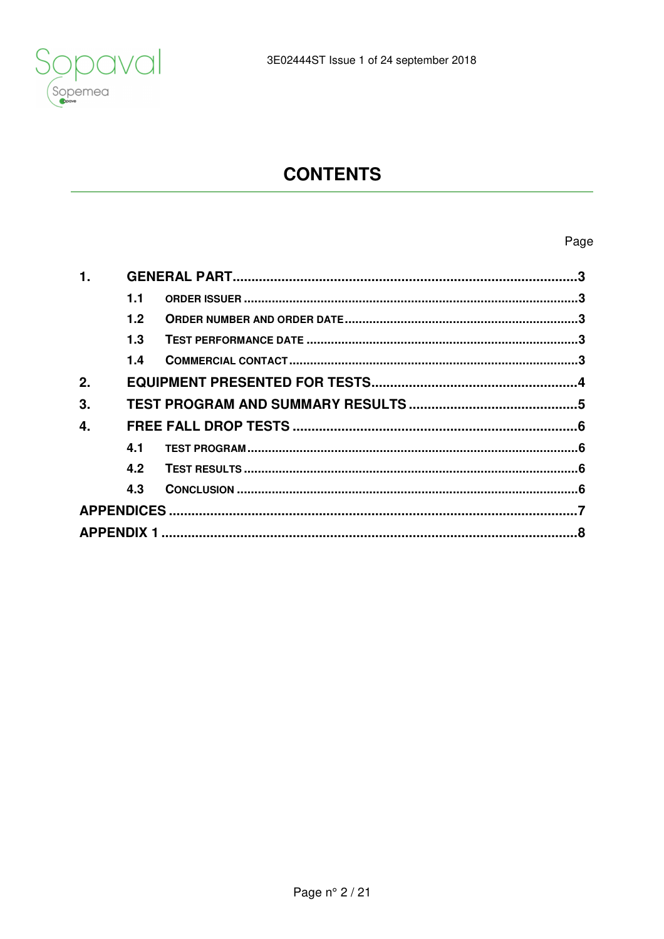

# **CONTENTS**

### Page

| 1. |                  |  |  |  |  |
|----|------------------|--|--|--|--|
|    | 1.1              |  |  |  |  |
|    | 1.2 <sub>2</sub> |  |  |  |  |
|    | 1.3              |  |  |  |  |
|    | 1.4              |  |  |  |  |
| 2. |                  |  |  |  |  |
| 3. |                  |  |  |  |  |
| 4. |                  |  |  |  |  |
|    | 4.1              |  |  |  |  |
|    | 4.2              |  |  |  |  |
|    | 4.3              |  |  |  |  |
|    |                  |  |  |  |  |
|    |                  |  |  |  |  |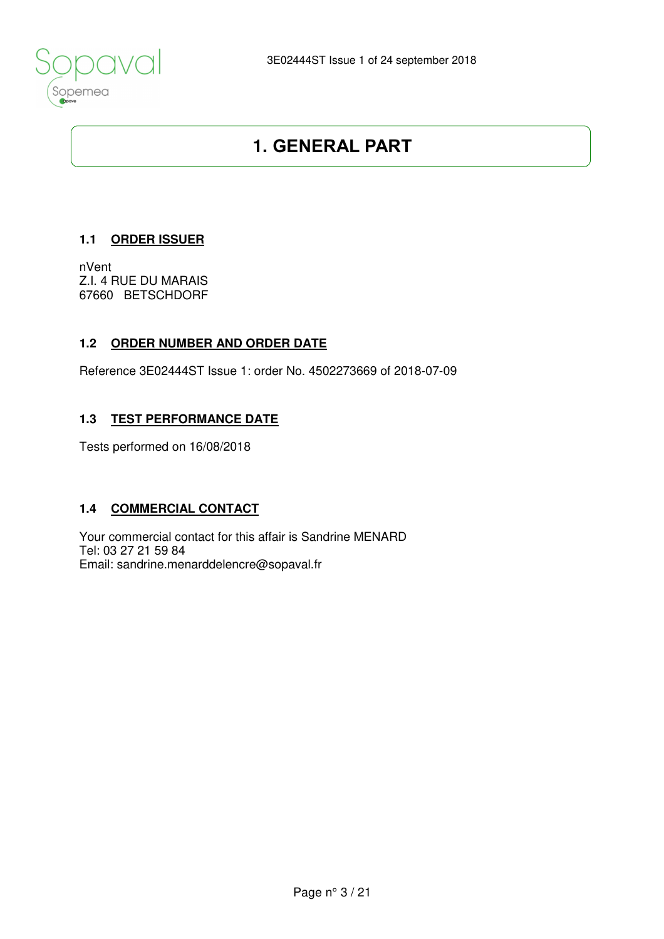

## **1. GENERAL PART**

#### **1.1 ORDER ISSUER**

nVent Z.I. 4 RUE DU MARAIS 67660 BETSCHDORF

#### **1.2 ORDER NUMBER AND ORDER DATE**

Reference 3E02444ST Issue 1: order No. 4502273669 of 2018-07-09

#### **1.3 TEST PERFORMANCE DATE**

Tests performed on 16/08/2018

#### **1.4 COMMERCIAL CONTACT**

Your commercial contact for this affair is Sandrine MENARD Tel: 03 27 21 59 84 Email: sandrine.menarddelencre@sopaval.fr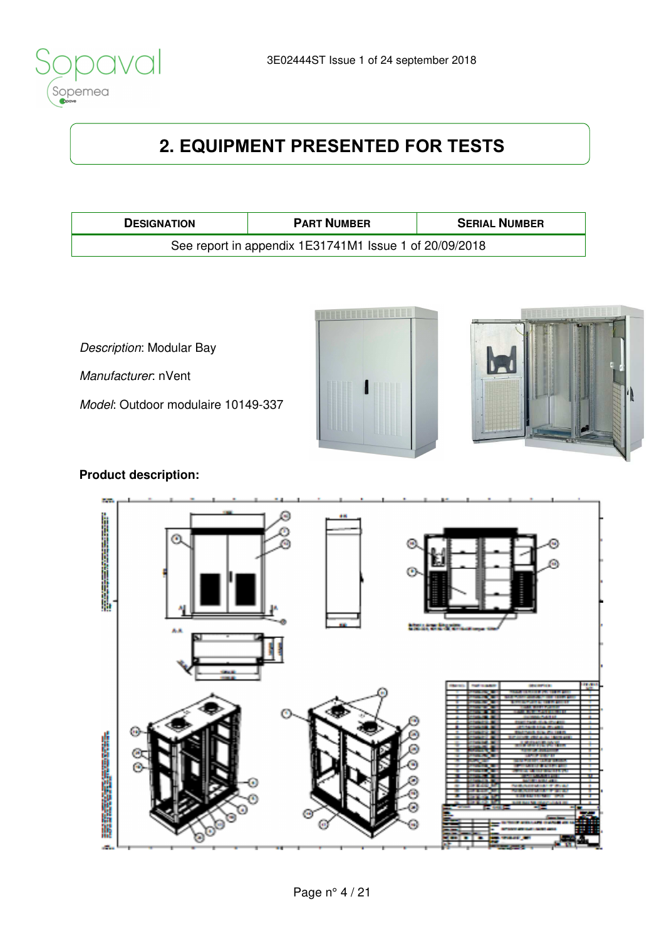

# **2. EQUIPMENT PRESENTED FOR TESTS**

| <b>DESIGNATION</b>                                     | <b>PART NUMBER</b> | <b>SERIAL NUMBER</b> |  |  |  |
|--------------------------------------------------------|--------------------|----------------------|--|--|--|
| See report in appendix 1E31741M1 Issue 1 of 20/09/2018 |                    |                      |  |  |  |

Description: Modular Bay

Manufacturer: nVent

Model: Outdoor modulaire 10149-337





### **Product description:**

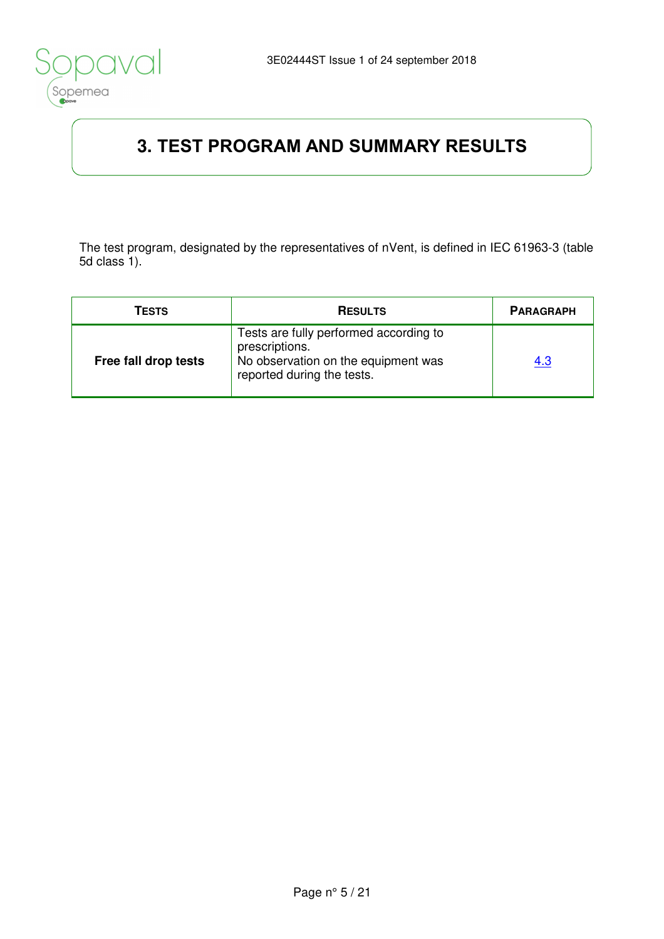

# **3. TEST PROGRAM AND SUMMARY RESULTS**

The test program, designated by the representatives of nVent, is defined in IEC 61963-3 (table 5d class 1).

| TESTS                | <b>RESULTS</b>                                                                                                                | <b>PARAGRAPH</b> |
|----------------------|-------------------------------------------------------------------------------------------------------------------------------|------------------|
| Free fall drop tests | Tests are fully performed according to<br>prescriptions.<br>No observation on the equipment was<br>reported during the tests. | <u>4.3</u>       |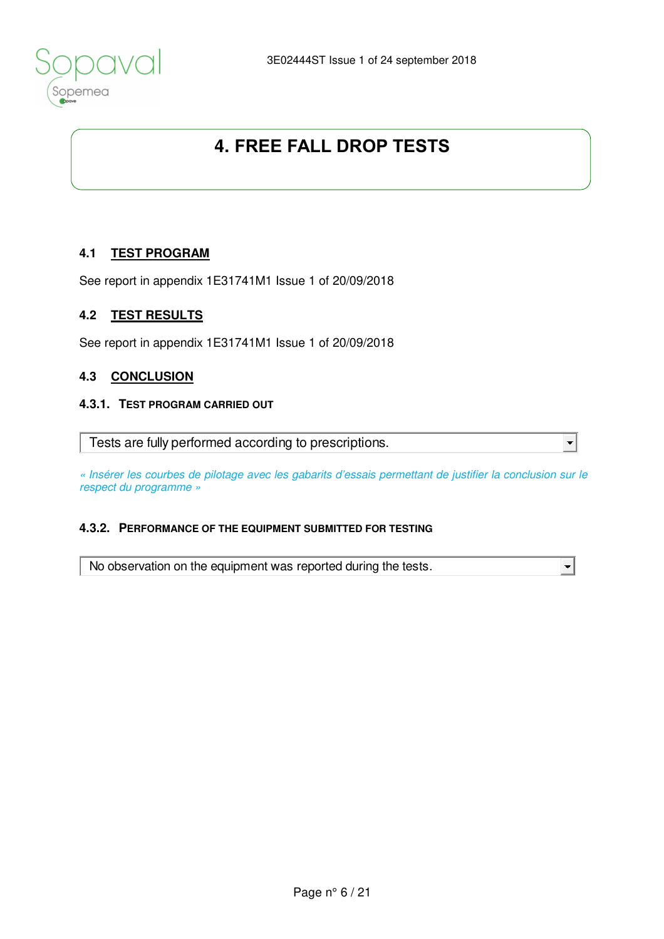

## **4. FREE FALL DROP TESTS**

#### **4.1 TEST PROGRAM**

See report in appendix 1E31741M1 Issue 1 of 20/09/2018

#### **4.2 TEST RESULTS**

See report in appendix 1E31741M1 Issue 1 of 20/09/2018

#### **4.3 CONCLUSION**

#### **4.3.1. TEST PROGRAM CARRIED OUT**

Tests are fully performed according to prescriptions.

« Insérer les courbes de pilotage avec les gabarits d'essais permettant de justifier la conclusion sur le respect du programme »

 $\blacktriangledown$ 

#### **4.3.2. PERFORMANCE OF THE EQUIPMENT SUBMITTED FOR TESTING**

No observation on the equipment was reported during the tests.  $\left| \cdot \right|$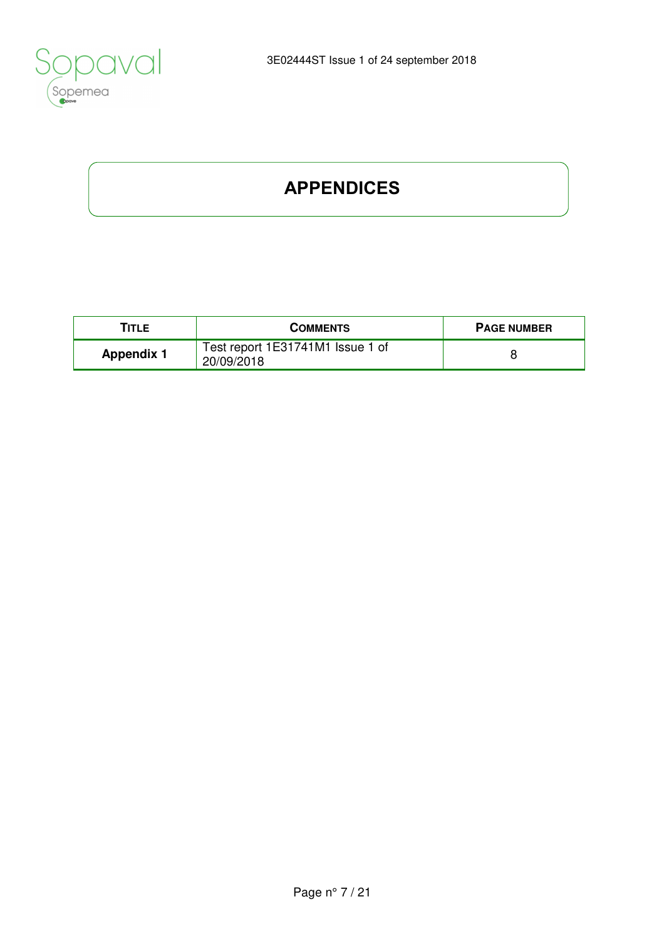

# **APPENDICES**

| TITLE             | <b>COMMENTS</b>                                | <b>PAGE NUMBER</b> |
|-------------------|------------------------------------------------|--------------------|
| <b>Appendix 1</b> | Test report 1E31741M1 Issue 1 of<br>20/09/2018 |                    |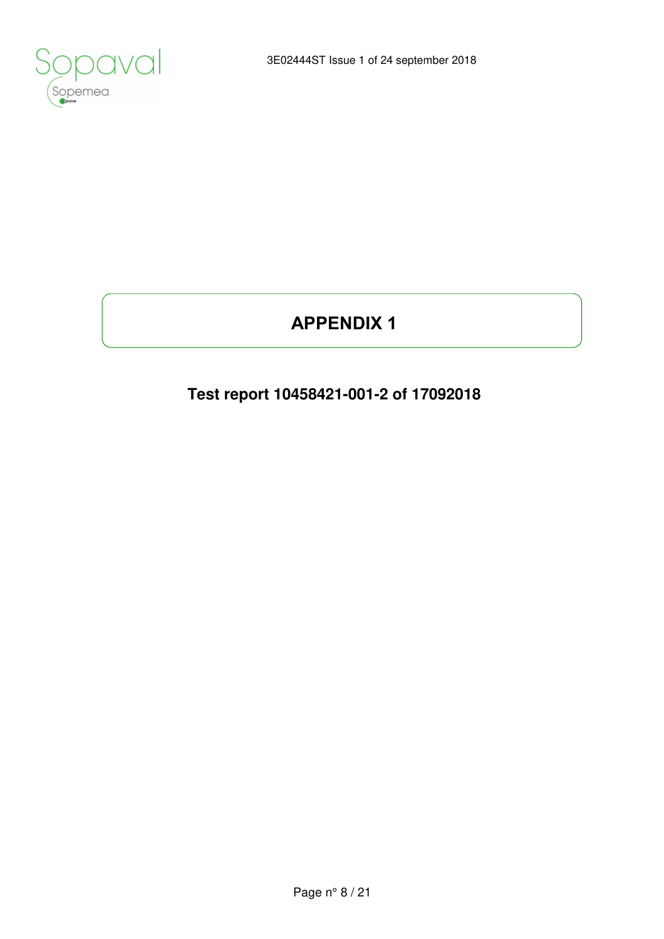

# **APPENDIX 1**

## **Test report 10458421-001-2 of 17092018**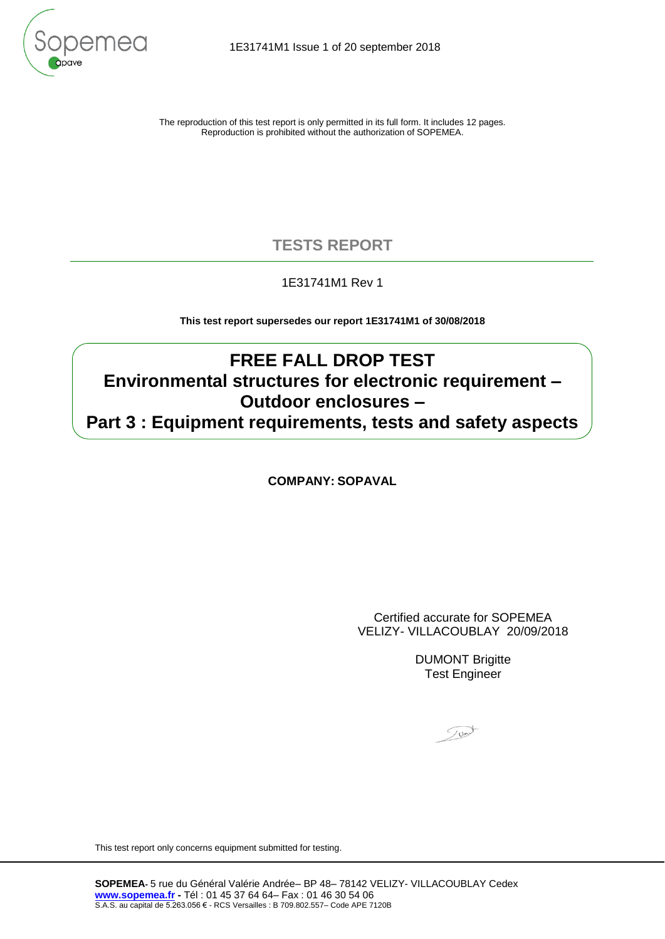

The reproduction of this test report is only permitted in its full form. It includes 12 pages. Reproduction is prohibited without the authorization of SOPEMEA.

### **TESTS REPORT**

#### 1E31741M1 Rev 1

**This test report supersedes our report 1E31741M1 of 30/08/2018**

### **FREE FALL DROP TEST Environmental structures for electronic requirement – Outdoor enclosures – Part 3 : Equipment requirements, tests and safety aspects**

**COMPANY: SOPAVAL**

Certified accurate for SOPEMEA VELIZY- VILLACOUBLAY 20/09/2018

> DUMONT Brigitte Test Engineer

Tund

This test report only concerns equipment submitted for testing.